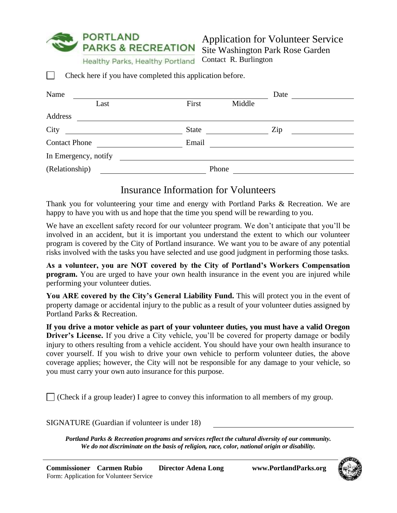**PORTLAND PARKS & RECREATION** 

Healthy Parks, Healthy Portland

Application for Volunteer Service Site Washington Park Rose Garden Contact R. Burlington

Check here if you have completed this application before.

| Name                 |              |        |     | Date |  |  |
|----------------------|--------------|--------|-----|------|--|--|
| Last                 | First        | Middle |     |      |  |  |
| Address              |              |        |     |      |  |  |
| City                 | <b>State</b> |        | Zip |      |  |  |
| <b>Contact Phone</b> | Email        |        |     |      |  |  |
| In Emergency, notify |              |        |     |      |  |  |
| (Relationship)       | Phone        |        |     |      |  |  |

## Insurance Information for Volunteers

Thank you for volunteering your time and energy with Portland Parks & Recreation. We are happy to have you with us and hope that the time you spend will be rewarding to you.

We have an excellent safety record for our volunteer program. We don't anticipate that you'll be involved in an accident, but it is important you understand the extent to which our volunteer program is covered by the City of Portland insurance. We want you to be aware of any potential risks involved with the tasks you have selected and use good judgment in performing those tasks.

**As a volunteer, you are NOT covered by the City of Portland's Workers Compensation program.** You are urged to have your own health insurance in the event you are injured while performing your volunteer duties.

You ARE covered by the City's General Liability Fund. This will protect you in the event of property damage or accidental injury to the public as a result of your volunteer duties assigned by Portland Parks & Recreation.

**If you drive a motor vehicle as part of your volunteer duties, you must have a valid Oregon Driver's License.** If you drive a City vehicle, you'll be covered for property damage or bodily injury to others resulting from a vehicle accident. You should have your own health insurance to cover yourself. If you wish to drive your own vehicle to perform volunteer duties, the above coverage applies; however, the City will not be responsible for any damage to your vehicle, so you must carry your own auto insurance for this purpose.

 $\Box$  (Check if a group leader) I agree to convey this information to all members of my group.

SIGNATURE (Guardian if volunteer is under 18)

*Portland Parks & Recreation programs and services reflect the cultural diversity of our community. We do not discriminate on the basis of religion, race, color, national origin or disability.*